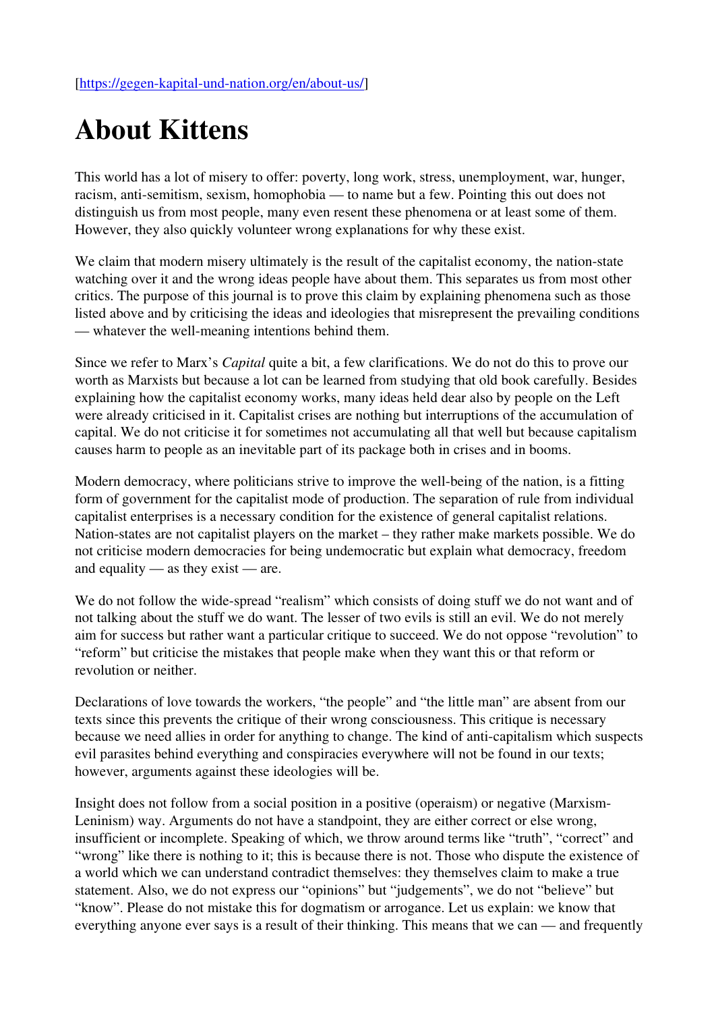## About Kittens

This world has a lot of misery to offer: poverty, long work, stress, unemployment, war, hunger, racism, anti-semitism, sexism, homophobia — to name but a few. Pointing this out does not distinguish us from most people, many even resent these phenomena or at least some of them. However, they also quickly volunteer wrong explanations for why these exist.

We claim that modern misery ultimately is the result of the capitalist economy, the nation-state watching over it and the wrong ideas people have about them. This separates us from most other critics. The purpose of this journal is to prove this claim by explaining phenomena such as those listed above and by criticising the ideas and ideologies that misrepresent the prevailing conditions — whatever the well-meaning intentions behind them.

Since we refer to Marx's Capital quite a bit, a few clarifications. We do not do this to prove our worth as Marxists but because a lot can be learned from studying that old book carefully. Besides explaining how the capitalist economy works, many ideas held dear also by people on the Left were already criticised in it. Capitalist crises are nothing but interruptions of the accumulation of capital. We do not criticise it for sometimes not accumulating all that well but because capitalism causes harm to people as an inevitable part of its package both in crises and in booms.

Modern democracy, where politicians strive to improve the well-being of the nation, is a fitting form of government for the capitalist mode of production. The separation of rule from individual capitalist enterprises is a necessary condition for the existence of general capitalist relations. Nation-states are not capitalist players on the market – they rather make markets possible. We do not criticise modern democracies for being undemocratic but explain what democracy, freedom and equality — as they exist — are.

We do not follow the wide-spread "realism" which consists of doing stuff we do not want and of not talking about the stuff we do want. The lesser of two evils is still an evil. We do not merely aim for success but rather want a particular critique to succeed. We do not oppose "revolution" to "reform" but criticise the mistakes that people make when they want this or that reform or revolution or neither.

Declarations of love towards the workers, "the people" and "the little man" are absent from our texts since this prevents the critique of their wrong consciousness. This critique is necessary because we need allies in order for anything to change. The kind of anti-capitalism which suspects evil parasites behind everything and conspiracies everywhere will not be found in our texts; however, arguments against these ideologies will be.

Insight does not follow from a social position in a positive (operaism) or negative (Marxism-Leninism) way. Arguments do not have a standpoint, they are either correct or else wrong, insufficient or incomplete. Speaking of which, we throw around terms like "truth", "correct" and "wrong" like there is nothing to it; this is because there is not. Those who dispute the existence of a world which we can understand contradict themselves: they themselves claim to make a true statement. Also, we do not express our "opinions" but "judgements", we do not "believe" but "know". Please do not mistake this for dogmatism or arrogance. Let us explain: we know that everything anyone ever says is a result of their thinking. This means that we can — and frequently